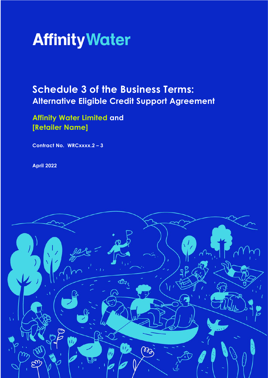

# **Schedule 3 of the Business Terms: Alternative Eligible Credit Support Agreement**

**Affinity Water Limited and [Retailer Name]**

**Contract No. WRCxxxx.2 – 3**

**April 2022**

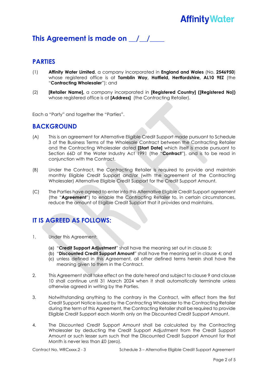## **Affinity Water**

### This Agreement is made on  $\frac{1}{2}$

#### **PARTIES**

- (1) **Affinity Water Limited**, a company incorporated in **England and Wales** (No. **2546950**) whose registered office is at **Tamblin Way, Hatfield, Hertfordshire, AL10 9EZ** (the "**Contracting Wholesaler**"); and
- (2) **[Retailer Name],** a company incorporated in **[Registered Country] ([Registered No])** whose registered office is at **[Address]** (the Contracting Retailer).

Each a "Party" and together the "Parties".

#### **BACKGROUND**

- (A) This is an agreement for Alternative Eligible Credit Support made pursuant to Schedule 3 of the Business Terms of the Wholesale Contract between the Contracting Retailer and the Contracting Wholesaler dated **[Start Date]** which itself is made pursuant to Section 66D of the Water Industry Act 1991 (the "**Contract**"), and is to be read in conjunction with the Contract.
- (B) Under the Contract, the Contracting Retailer is required to provide and maintain monthly Eligible Credit Support and/or (with the agreement of the Contracting Wholesaler) Alternative Eligible Credit Support for the Credit Support Amount.
- (C) The Parties have agreed to enter into this Alternative Eligible Credit Support agreement (the "**Agreement**") to enable the Contracting Retailer to, in certain circumstances, reduce the amount of Eligible Credit Support that it provides and maintains.

### **IT IS AGREED AS FOLLOWS:**

- 1. Under this Agreement:
	- (a) "**Credit Support Adjustment**" shall have the meaning set out in clause 5;
	- (b) "**Discounted Credit Support Amount**" shall have the meaning set in clause 4; and
	- (c) unless defined in this Agreement, all other defined terms herein shall have the meaning given to them in the Contract.
- 2. This Agreement shall take effect on the date hereof and subject to clause 9 and clause 10 shall continue until 31 March 2024 when it shall automatically terminate unless otherwise agreed in writing by the Parties.
- 3. Notwithstanding anything to the contrary in the Contract, with effect from the first Credit Support Notice issued by the Contracting Wholesaler to the Contracting Retailer during the term of this Agreement, the Contracting Retailer shall be required to provide Eligible Credit Support each Month only on the Discounted Credit Support Amount.
- 4. The Discounted Credit Support Amount shall be calculated by the Contracting Wholesaler by deducting the Credit Support Adjustment from the Credit Support Amount or such lesser sum such that the Discounted Credit Support Amount for that Month is never less than £0 (zero).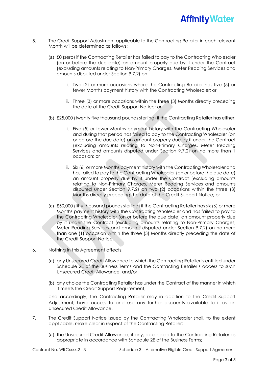- 5. The Credit Support Adjustment applicable to the Contracting Retailer in each relevant Month will be determined as follows:
	- (a) £0 (zero) if the Contracting Retailer has failed to pay to the Contracting Wholesaler (on or before the due date) an amount properly due by it under the Contract (excluding amounts relating to Non-Primary Charges, Meter Reading Services and amounts disputed under Section 9.7.2) on:
		- i. Two (2) or more occasions where the Contracting Retailer has five (5) or fewer Months payment history with the Contracting Wholesaler; or
		- ii. Three (3) or more occasions within the three (3) Months directly preceding the date of the Credit Support Notice; or
	- (b) £25,000 (twenty five thousand pounds sterling) if the Contracting Retailer has either:
		- i. Five (5) or fewer Months payment history with the Contracting Wholesaler and during that period has failed to pay to the Contracting Wholesaler (on or before the due date) an amount properly due by it under the Contract (excluding amounts relating to Non-Primary Charges, Meter Reading Services and amounts disputed under Section 9.7.2) on no more than 1 occasion; or
		- ii. Six (6) or more Months payment history with the Contracting Wholesaler and has failed to pay to the Contracting Wholesaler (on or before the due date) an amount properly due by it under the Contract (excluding amounts relating to Non-Primary Charges, Meter Reading Services and amounts disputed under Section 9.7.2) on two (2) occasions within the three (3) Months directly preceding the date of the Credit Support Notice; or
	- (c) £50,000 (fifty thousand pounds sterling) if the Contracting Retailer has six (6) or more Months payment history with the Contracting Wholesaler and has failed to pay to the Contracting Wholesaler (on or before the due date) an amount properly due by it under the Contract (excluding amounts relating to Non-Primary Charges, Meter Reading Services and amounts disputed under Section 9.7.2) on no more than one (1) occasion within the three (3) Months directly preceding the date of the Credit Support Notice.
- 6. Nothing in this Agreement affects:
	- (a) any Unsecured Credit Allowance to which the Contracting Retailer is entitled under Schedule 2E of the Business Terms and the Contracting Retailer's access to such Unsecured Credit Allowance, and/or
	- (b) any choice the Contracting Retailer has under the Contract of the manner in which it meets the Credit Support Requirement,

and accordingly, the Contracting Retailer may in addition to the Credit Support Adjustment, have access to and use any further discounts available to it as an Unsecured Credit Allowance.

- 7. The Credit Support Notice issued by the Contracting Wholesaler shall, to the extent applicable, make clear in respect of the Contracting Retailer:
	- (a) the Unsecured Credit Allowance, if any, applicable to the Contracting Retailer as appropriate in accordance with Schedule 2E of the Business Terms;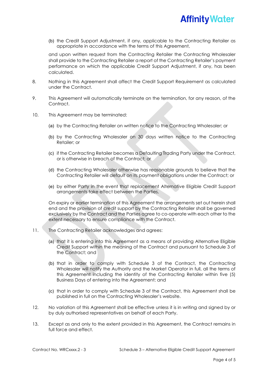

(b) the Credit Support Adjustment, if any, applicable to the Contracting Retailer as appropriate in accordance with the terms of this Agreement,

and upon written request from the Contracting Retailer the Contracting Wholesaler shall provide to the Contracting Retailer a report of the Contracting Retailer's payment performance on which the applicable Credit Support Adjustment, if any, has been calculated.

- 8. Nothing in this Agreement shall affect the Credit Support Requirement as calculated under the Contract.
- 9. This Agreement will automatically terminate on the termination, for any reason, of the Contract.
- 10. This Agreement may be terminated:
	- (a) by the Contracting Retailer on written notice to the Contracting Wholesaler; or
	- (b) by the Contracting Wholesaler on 30 days written notice to the Contracting Retailer; or
	- (c) if the Contracting Retailer becomes a Defaulting Trading Party under the Contract, or is otherwise in breach of the Contract; or
	- (d) the Contracting Wholesaler otherwise has reasonable grounds to believe that the Contracting Retailer will default on its payment obligations under the Contract; or
	- (e) by either Party in the event that replacement Alternative Eligible Credit Support arrangements take effect between the Parties.

On expiry or earlier termination of this Agreement the arrangements set out herein shall end and the provision of credit support by the Contracting Retailer shall be governed exclusively by the Contract and the Parties agree to co-operate with each other to the extent necessary to ensure compliance with the Contract.

- 11. The Contracting Retailer acknowledges and agrees:
	- (a) that it is entering into this Agreement as a means of providing Alternative Eligible Credit Support within the meaning of the Contract and pursuant to Schedule 3 of the Contract; and
	- (b) that in order to comply with Schedule 3 of the Contract, the Contracting Wholesaler will notify the Authority and the Market Operator in full, all the terms of this Agreement including the identity of the Contracting Retailer within five (5) Business Days of entering into the Agreement; and
	- (c) that in order to comply with Schedule 3 of the Contract, this Agreement shall be published in full on the Contracting Wholesaler's website.
- 12. No variation of this Agreement shall be effective unless it is in writing and signed by or by duly authorised representatives on behalf of each Party.
- 13. Except as and only to the extent provided in this Agreement, the Contract remains in full force and effect.